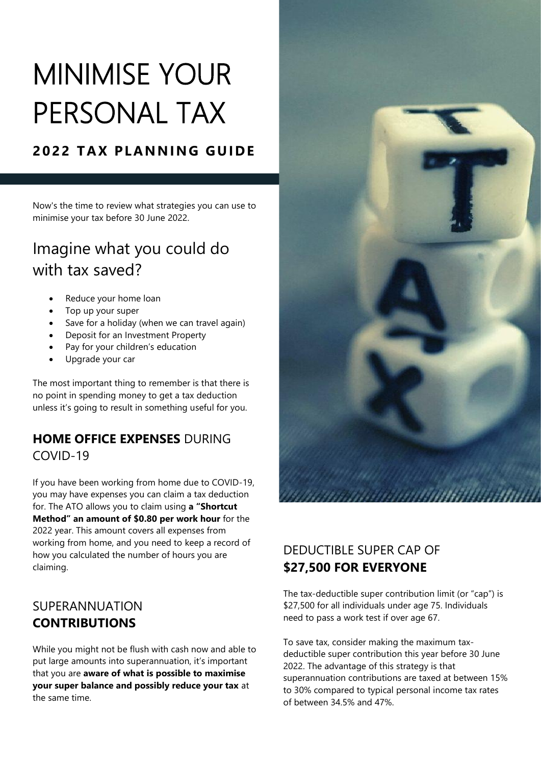# MINIMISE YOUR PERSONAL TAX

### **2022 TAX PLANNING GUIDE**

Now's the time to review what strategies you can use to minimise your tax before 30 June 2022.

## Imagine what you could do with tax saved?

- Reduce your home loan
- Top up your super
- Save for a holiday (when we can travel again)
- Deposit for an Investment Property
- Pay for your children's education
- Upgrade your car

The most important thing to remember is that there is no point in spending money to get a tax deduction unless it's going to result in something useful for you.

#### **HOME OFFICE EXPENSES** DURING COVID-19

If you have been working from home due to COVID-19, you may have expenses you can claim a tax deduction for. The ATO allows you to claim using **a "Shortcut Method" an amount of \$0.80 per work hour** for the 2022 year. This amount covers all expenses from working from home, and you need to keep a record of how you calculated the number of hours you are claiming.

#### SUPERANNUATION **CONTRIBUTIONS**

While you might not be flush with cash now and able to put large amounts into superannuation, it's important that you are **aware of what is possible to maximise your super balance and possibly reduce your tax** at the same time.



#### DEDUCTIBLE SUPER CAP OF **\$27,500 FOR EVERYONE**

The tax-deductible super contribution limit (or "cap") is \$27,500 for all individuals under age 75. Individuals need to pass a work test if over age 67.

To save tax, consider making the maximum taxdeductible super contribution this year before 30 June 2022. The advantage of this strategy is that superannuation contributions are taxed at between 15% to 30% compared to typical personal income tax rates of between 34.5% and 47%.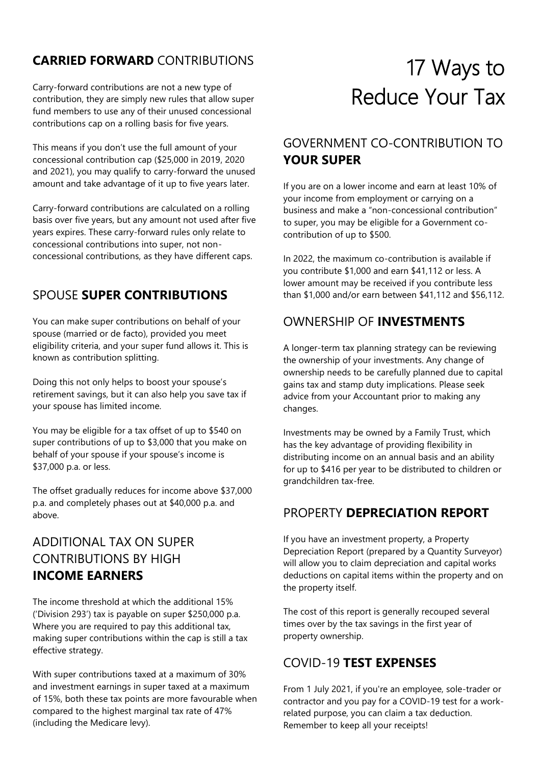#### **CARRIED FORWARD** CONTRIBUTIONS

Carry-forward contributions are not a new type of contribution, they are simply new rules that allow super fund members to use any of their unused concessional contributions cap on a rolling basis for five years.

This means if you don't use the full amount of your concessional contribution cap (\$25,000 in 2019, 2020 and 2021), you may qualify to carry-forward the unused amount and take advantage of it up to five years later.

Carry-forward contributions are calculated on a rolling basis over five years, but any amount not used after five years expires. These carry-forward rules only relate to concessional contributions into super, not nonconcessional contributions, as they have different caps.

#### SPOUSE **SUPER CONTRIBUTIONS**

You can make super contributions on behalf of your spouse (married or de facto), provided you meet eligibility criteria, and your super fund allows it. This is known as contribution splitting.

Doing this not only helps to boost your spouse's retirement savings, but it can also help you save tax if your spouse has limited income.

You may be eligible for a tax offset of up to \$540 on super contributions of up to \$3,000 that you make on behalf of your spouse if your spouse's income is \$37,000 p.a. or less.

The offset gradually reduces for income above \$37,000 p.a. and completely phases out at \$40,000 p.a. and above.

#### ADDITIONAL TAX ON SUPER CONTRIBUTIONS BY HIGH **INCOME EARNERS**

The income threshold at which the additional 15% ('Division 293') tax is payable on super \$250,000 p.a. Where you are required to pay this additional tax, making super contributions within the cap is still a tax effective strategy.

With super contributions taxed at a maximum of 30% and investment earnings in super taxed at a maximum of 15%, both these tax points are more favourable when compared to the highest marginal tax rate of 47% (including the Medicare levy).

# 17 Ways to Reduce Your Tax

#### GOVERNMENT CO-CONTRIBUTION TO **YOUR SUPER**

If you are on a lower income and earn at least 10% of your income from employment or carrying on a business and make a "non-concessional contribution" to super, you may be eligible for a Government cocontribution of up to \$500.

In 2022, the maximum co-contribution is available if you contribute \$1,000 and earn \$41,112 or less. A lower amount may be received if you contribute less than \$1,000 and/or earn between \$41,112 and \$56,112.

#### OWNERSHIP OF **INVESTMENTS**

A longer-term tax planning strategy can be reviewing the ownership of your investments. Any change of ownership needs to be carefully planned due to capital gains tax and stamp duty implications. Please seek advice from your Accountant prior to making any changes.

Investments may be owned by a Family Trust, which has the key advantage of providing flexibility in distributing income on an annual basis and an ability for up to \$416 per year to be distributed to children or grandchildren tax-free.

#### PROPERTY **DEPRECIATION REPORT**

If you have an investment property, a Property Depreciation Report (prepared by a Quantity Surveyor) will allow you to claim depreciation and capital works deductions on capital items within the property and on the property itself.

The cost of this report is generally recouped several times over by the tax savings in the first year of property ownership.

#### COVID-19 **TEST EXPENSES**

From 1 July 2021, if you're an employee, sole-trader or contractor and you pay for a COVID-19 test for a workrelated purpose, you can claim a tax deduction. Remember to keep all your receipts!